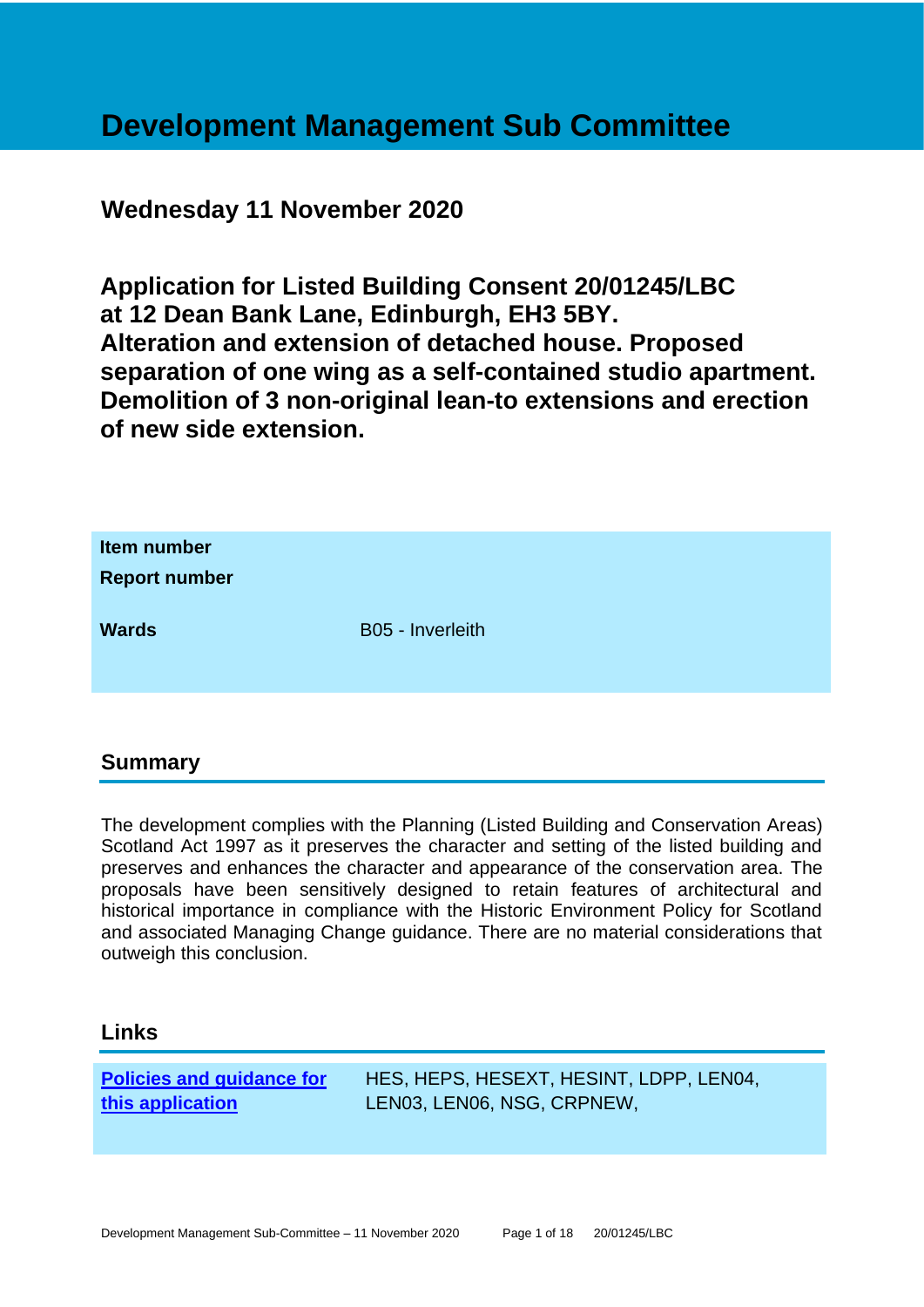## **Development Management Sub Committee**

## **Wednesday 11 November 2020**

**Application for Listed Building Consent 20/01245/LBC at 12 Dean Bank Lane, Edinburgh, EH3 5BY. Alteration and extension of detached house. Proposed separation of one wing as a self-contained studio apartment. Demolition of 3 non-original lean-to extensions and erection of new side extension.**

| Item number<br><b>Report number</b> |                  |
|-------------------------------------|------------------|
| <b>Wards</b>                        | B05 - Inverleith |

## **Summary**

The development complies with the Planning (Listed Building and Conservation Areas) Scotland Act 1997 as it preserves the character and setting of the listed building and preserves and enhances the character and appearance of the conservation area. The proposals have been sensitively designed to retain features of architectural and historical importance in compliance with the Historic Environment Policy for Scotland and associated Managing Change guidance. There are no material considerations that outweigh this conclusion.

## **Links**

**[Policies and guidance for](file:///C:/uniform/temp/uf04148.rtf%23Policies)  [this application](file:///C:/uniform/temp/uf04148.rtf%23Policies)**

HES, HEPS, HESEXT, HESINT, LDPP, LEN04, LEN03, LEN06, NSG, CRPNEW,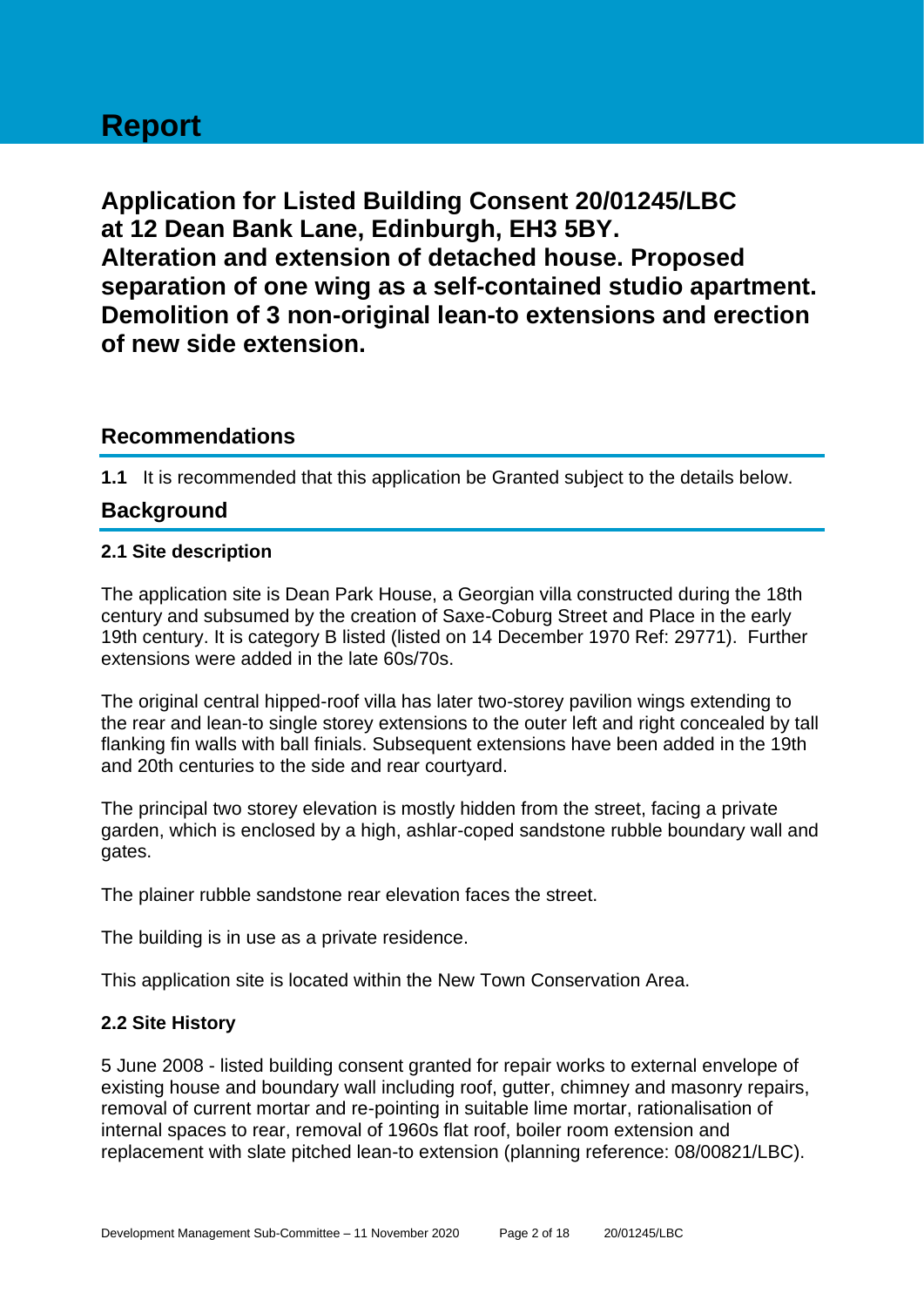# **Report**

**Application for Listed Building Consent 20/01245/LBC at 12 Dean Bank Lane, Edinburgh, EH3 5BY. Alteration and extension of detached house. Proposed separation of one wing as a self-contained studio apartment. Demolition of 3 non-original lean-to extensions and erection of new side extension.**

## **Recommendations**

**1.1** It is recommended that this application be Granted subject to the details below.

## **Background**

## **2.1 Site description**

The application site is Dean Park House, a Georgian villa constructed during the 18th century and subsumed by the creation of Saxe-Coburg Street and Place in the early 19th century. It is category B listed (listed on 14 December 1970 Ref: 29771). Further extensions were added in the late 60s/70s.

The original central hipped-roof villa has later two-storey pavilion wings extending to the rear and lean-to single storey extensions to the outer left and right concealed by tall flanking fin walls with ball finials. Subsequent extensions have been added in the 19th and 20th centuries to the side and rear courtyard.

The principal two storey elevation is mostly hidden from the street, facing a private garden, which is enclosed by a high, ashlar-coped sandstone rubble boundary wall and gates.

The plainer rubble sandstone rear elevation faces the street.

The building is in use as a private residence.

This application site is located within the New Town Conservation Area.

## **2.2 Site History**

5 June 2008 - listed building consent granted for repair works to external envelope of existing house and boundary wall including roof, gutter, chimney and masonry repairs, removal of current mortar and re-pointing in suitable lime mortar, rationalisation of internal spaces to rear, removal of 1960s flat roof, boiler room extension and replacement with slate pitched lean-to extension (planning reference: 08/00821/LBC).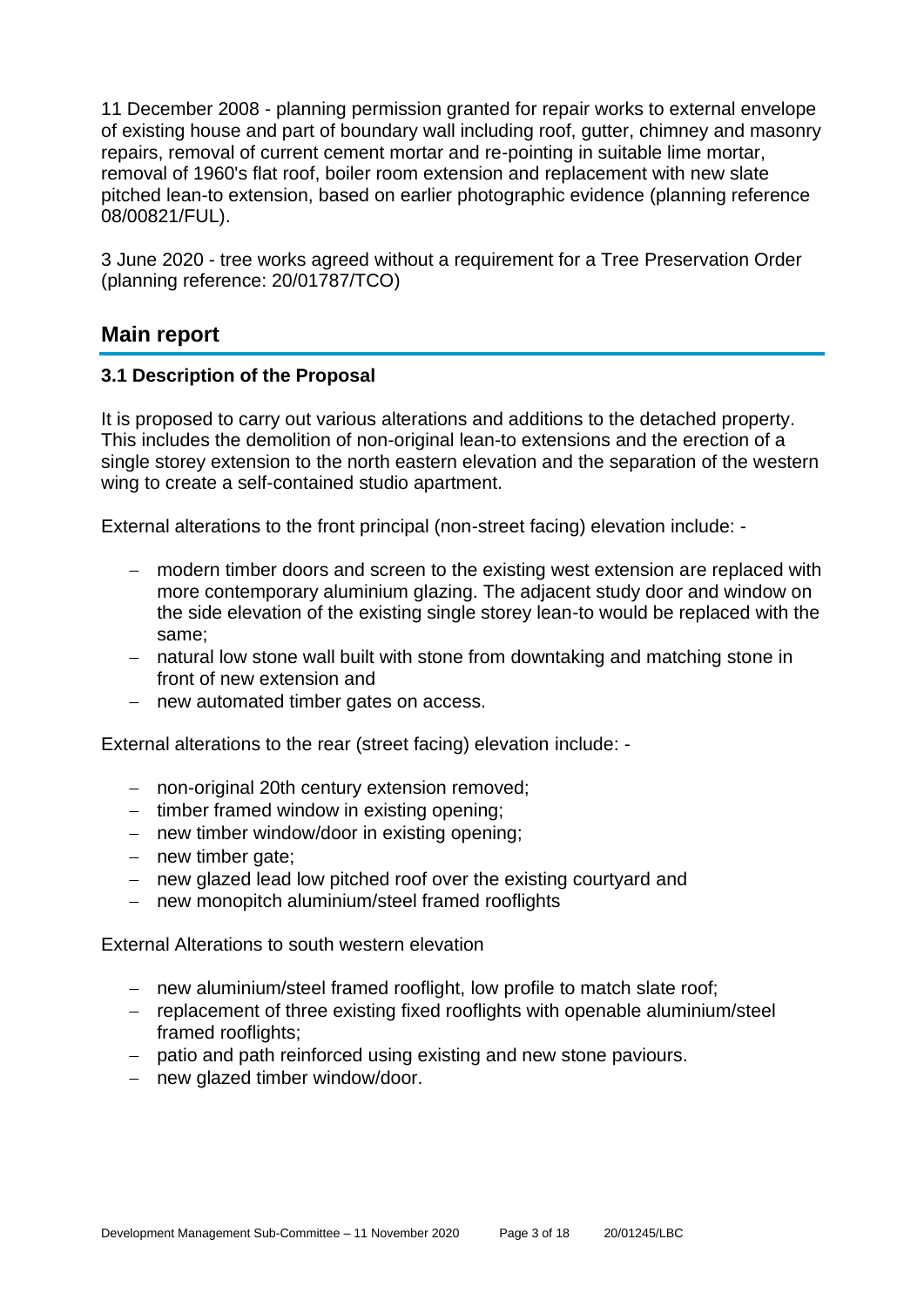11 December 2008 - planning permission granted for repair works to external envelope of existing house and part of boundary wall including roof, gutter, chimney and masonry repairs, removal of current cement mortar and re-pointing in suitable lime mortar, removal of 1960's flat roof, boiler room extension and replacement with new slate pitched lean-to extension, based on earlier photographic evidence (planning reference 08/00821/FUL).

3 June 2020 - tree works agreed without a requirement for a Tree Preservation Order (planning reference: 20/01787/TCO)

## **Main report**

## **3.1 Description of the Proposal**

It is proposed to carry out various alterations and additions to the detached property. This includes the demolition of non-original lean-to extensions and the erection of a single storey extension to the north eastern elevation and the separation of the western wing to create a self-contained studio apartment.

External alterations to the front principal (non-street facing) elevation include: -

- − modern timber doors and screen to the existing west extension are replaced with more contemporary aluminium glazing. The adjacent study door and window on the side elevation of the existing single storey lean-to would be replaced with the same;
- − natural low stone wall built with stone from downtaking and matching stone in front of new extension and
- − new automated timber gates on access.

External alterations to the rear (street facing) elevation include: -

- − non-original 20th century extension removed;
- − timber framed window in existing opening;
- − new timber window/door in existing opening;
- − new timber gate;
- − new glazed lead low pitched roof over the existing courtyard and
- − new monopitch aluminium/steel framed rooflights

External Alterations to south western elevation

- − new aluminium/steel framed rooflight, low profile to match slate roof;
- − replacement of three existing fixed rooflights with openable aluminium/steel framed rooflights;
- − patio and path reinforced using existing and new stone paviours.
- − new glazed timber window/door.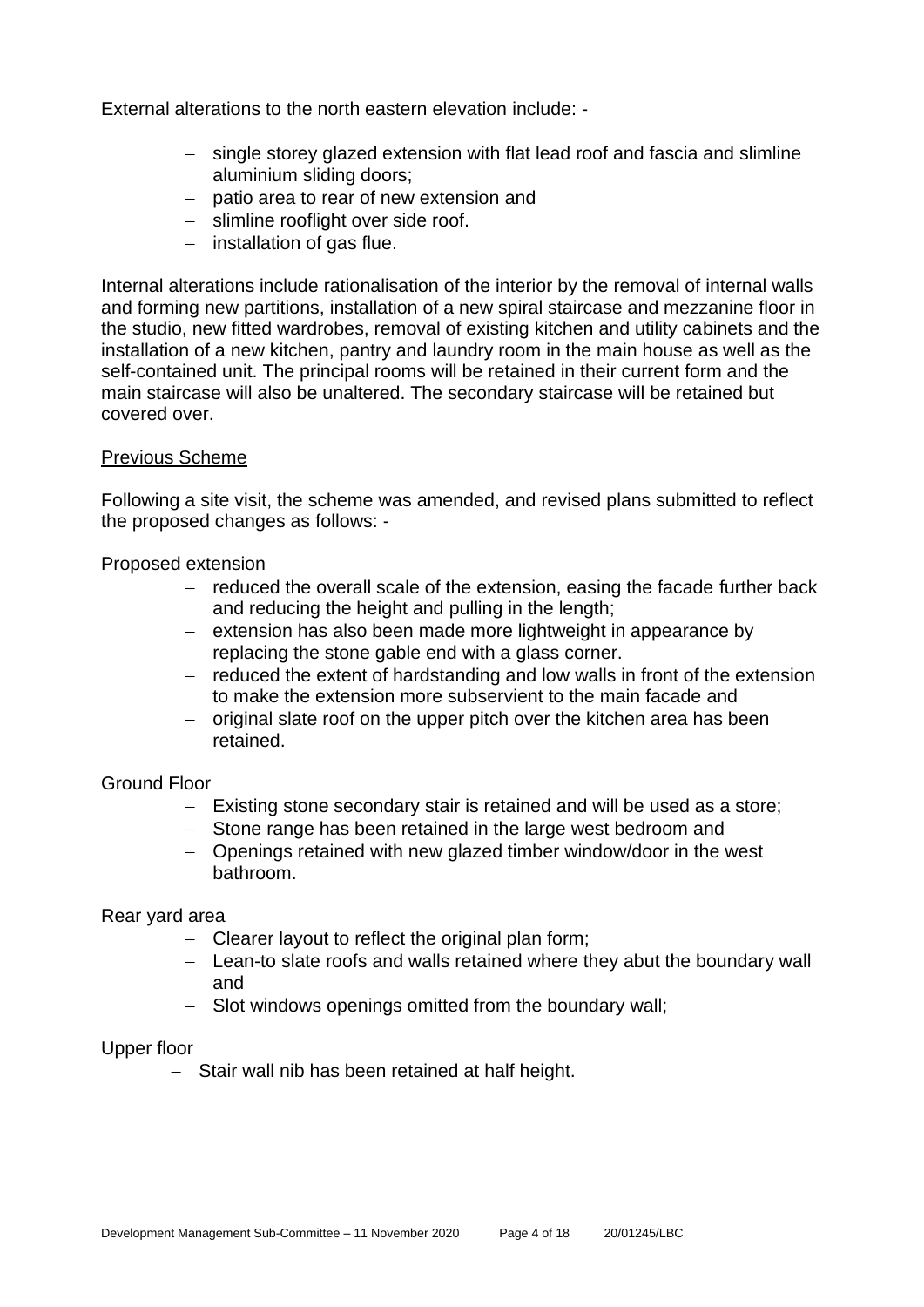External alterations to the north eastern elevation include: -

- − single storey glazed extension with flat lead roof and fascia and slimline aluminium sliding doors;
- − patio area to rear of new extension and
- − slimline rooflight over side roof.
- − installation of gas flue.

Internal alterations include rationalisation of the interior by the removal of internal walls and forming new partitions, installation of a new spiral staircase and mezzanine floor in the studio, new fitted wardrobes, removal of existing kitchen and utility cabinets and the installation of a new kitchen, pantry and laundry room in the main house as well as the self-contained unit. The principal rooms will be retained in their current form and the main staircase will also be unaltered. The secondary staircase will be retained but covered over.

## Previous Scheme

Following a site visit, the scheme was amended, and revised plans submitted to reflect the proposed changes as follows: -

Proposed extension

- − reduced the overall scale of the extension, easing the facade further back and reducing the height and pulling in the length;
- − extension has also been made more lightweight in appearance by replacing the stone gable end with a glass corner.
- − reduced the extent of hardstanding and low walls in front of the extension to make the extension more subservient to the main facade and
- − original slate roof on the upper pitch over the kitchen area has been retained.

#### Ground Floor

- − Existing stone secondary stair is retained and will be used as a store;
- − Stone range has been retained in the large west bedroom and
- − Openings retained with new glazed timber window/door in the west bathroom.

#### Rear yard area

- − Clearer layout to reflect the original plan form;
- − Lean-to slate roofs and walls retained where they abut the boundary wall and
- − Slot windows openings omitted from the boundary wall;

#### Upper floor

− Stair wall nib has been retained at half height.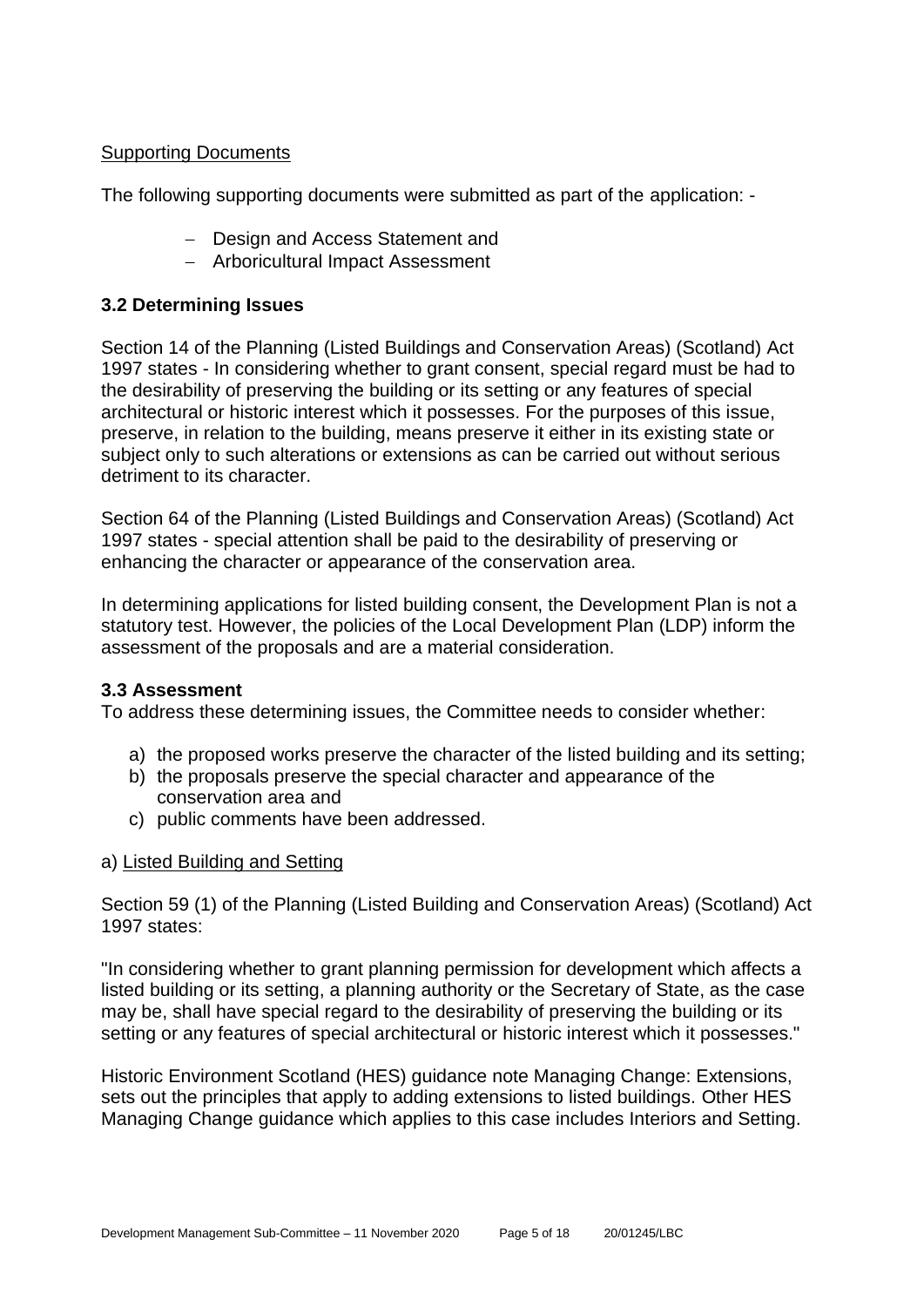## Supporting Documents

The following supporting documents were submitted as part of the application: -

- − Design and Access Statement and
- − Arboricultural Impact Assessment

## **3.2 Determining Issues**

Section 14 of the Planning (Listed Buildings and Conservation Areas) (Scotland) Act 1997 states - In considering whether to grant consent, special regard must be had to the desirability of preserving the building or its setting or any features of special architectural or historic interest which it possesses. For the purposes of this issue, preserve, in relation to the building, means preserve it either in its existing state or subject only to such alterations or extensions as can be carried out without serious detriment to its character.

Section 64 of the Planning (Listed Buildings and Conservation Areas) (Scotland) Act 1997 states - special attention shall be paid to the desirability of preserving or enhancing the character or appearance of the conservation area.

In determining applications for listed building consent, the Development Plan is not a statutory test. However, the policies of the Local Development Plan (LDP) inform the assessment of the proposals and are a material consideration.

## **3.3 Assessment**

To address these determining issues, the Committee needs to consider whether:

- a) the proposed works preserve the character of the listed building and its setting;
- b) the proposals preserve the special character and appearance of the conservation area and
- c) public comments have been addressed.

## a) Listed Building and Setting

Section 59 (1) of the Planning (Listed Building and Conservation Areas) (Scotland) Act 1997 states:

"In considering whether to grant planning permission for development which affects a listed building or its setting, a planning authority or the Secretary of State, as the case may be, shall have special regard to the desirability of preserving the building or its setting or any features of special architectural or historic interest which it possesses."

Historic Environment Scotland (HES) guidance note Managing Change: Extensions, sets out the principles that apply to adding extensions to listed buildings. Other HES Managing Change guidance which applies to this case includes Interiors and Setting.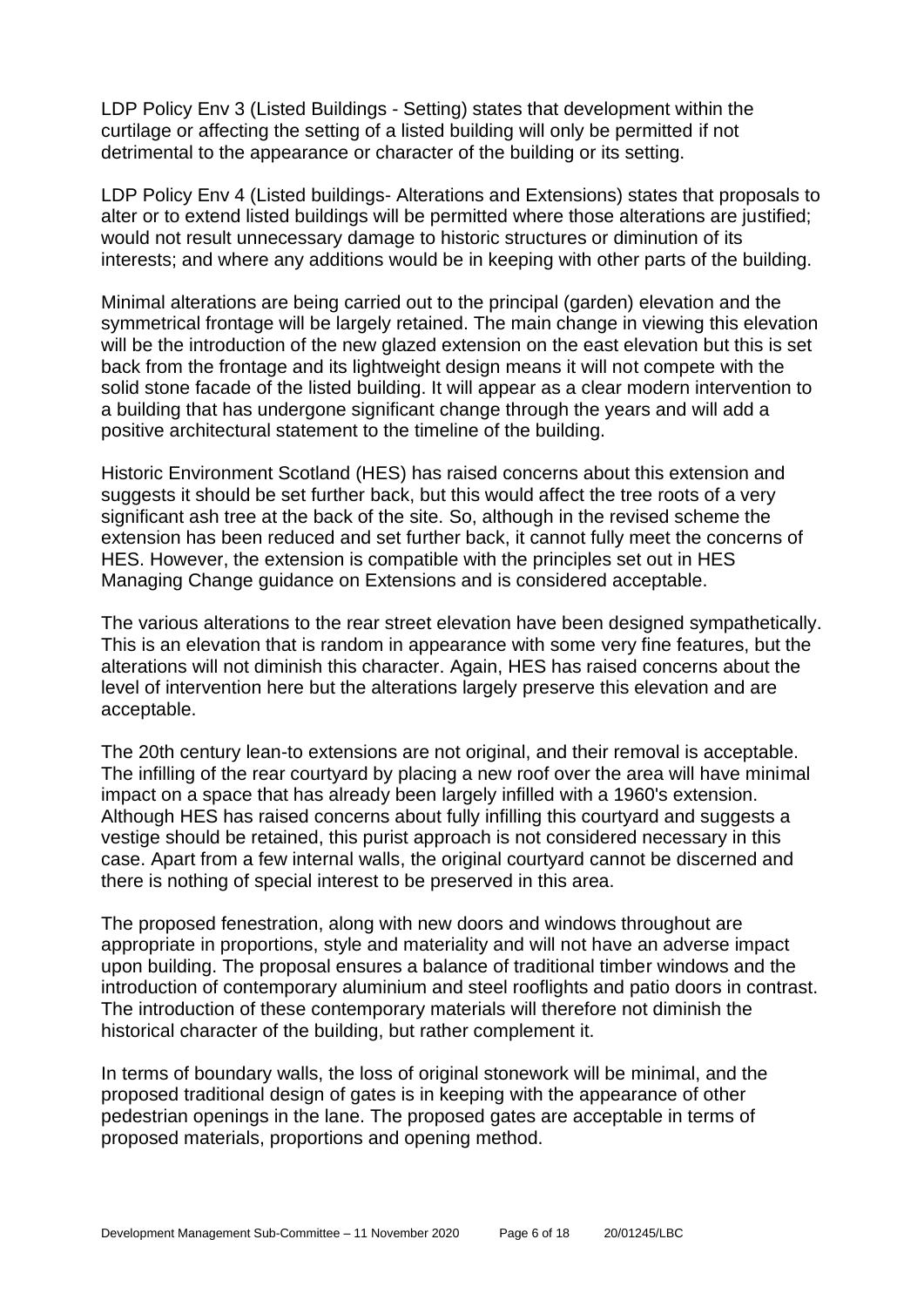LDP Policy Env 3 (Listed Buildings - Setting) states that development within the curtilage or affecting the setting of a listed building will only be permitted if not detrimental to the appearance or character of the building or its setting.

LDP Policy Env 4 (Listed buildings- Alterations and Extensions) states that proposals to alter or to extend listed buildings will be permitted where those alterations are justified; would not result unnecessary damage to historic structures or diminution of its interests; and where any additions would be in keeping with other parts of the building.

Minimal alterations are being carried out to the principal (garden) elevation and the symmetrical frontage will be largely retained. The main change in viewing this elevation will be the introduction of the new glazed extension on the east elevation but this is set back from the frontage and its lightweight design means it will not compete with the solid stone facade of the listed building. It will appear as a clear modern intervention to a building that has undergone significant change through the years and will add a positive architectural statement to the timeline of the building.

Historic Environment Scotland (HES) has raised concerns about this extension and suggests it should be set further back, but this would affect the tree roots of a very significant ash tree at the back of the site. So, although in the revised scheme the extension has been reduced and set further back, it cannot fully meet the concerns of HES. However, the extension is compatible with the principles set out in HES Managing Change guidance on Extensions and is considered acceptable.

The various alterations to the rear street elevation have been designed sympathetically. This is an elevation that is random in appearance with some very fine features, but the alterations will not diminish this character. Again, HES has raised concerns about the level of intervention here but the alterations largely preserve this elevation and are acceptable.

The 20th century lean-to extensions are not original, and their removal is acceptable. The infilling of the rear courtyard by placing a new roof over the area will have minimal impact on a space that has already been largely infilled with a 1960's extension. Although HES has raised concerns about fully infilling this courtyard and suggests a vestige should be retained, this purist approach is not considered necessary in this case. Apart from a few internal walls, the original courtyard cannot be discerned and there is nothing of special interest to be preserved in this area.

The proposed fenestration, along with new doors and windows throughout are appropriate in proportions, style and materiality and will not have an adverse impact upon building. The proposal ensures a balance of traditional timber windows and the introduction of contemporary aluminium and steel rooflights and patio doors in contrast. The introduction of these contemporary materials will therefore not diminish the historical character of the building, but rather complement it.

In terms of boundary walls, the loss of original stonework will be minimal, and the proposed traditional design of gates is in keeping with the appearance of other pedestrian openings in the lane. The proposed gates are acceptable in terms of proposed materials, proportions and opening method.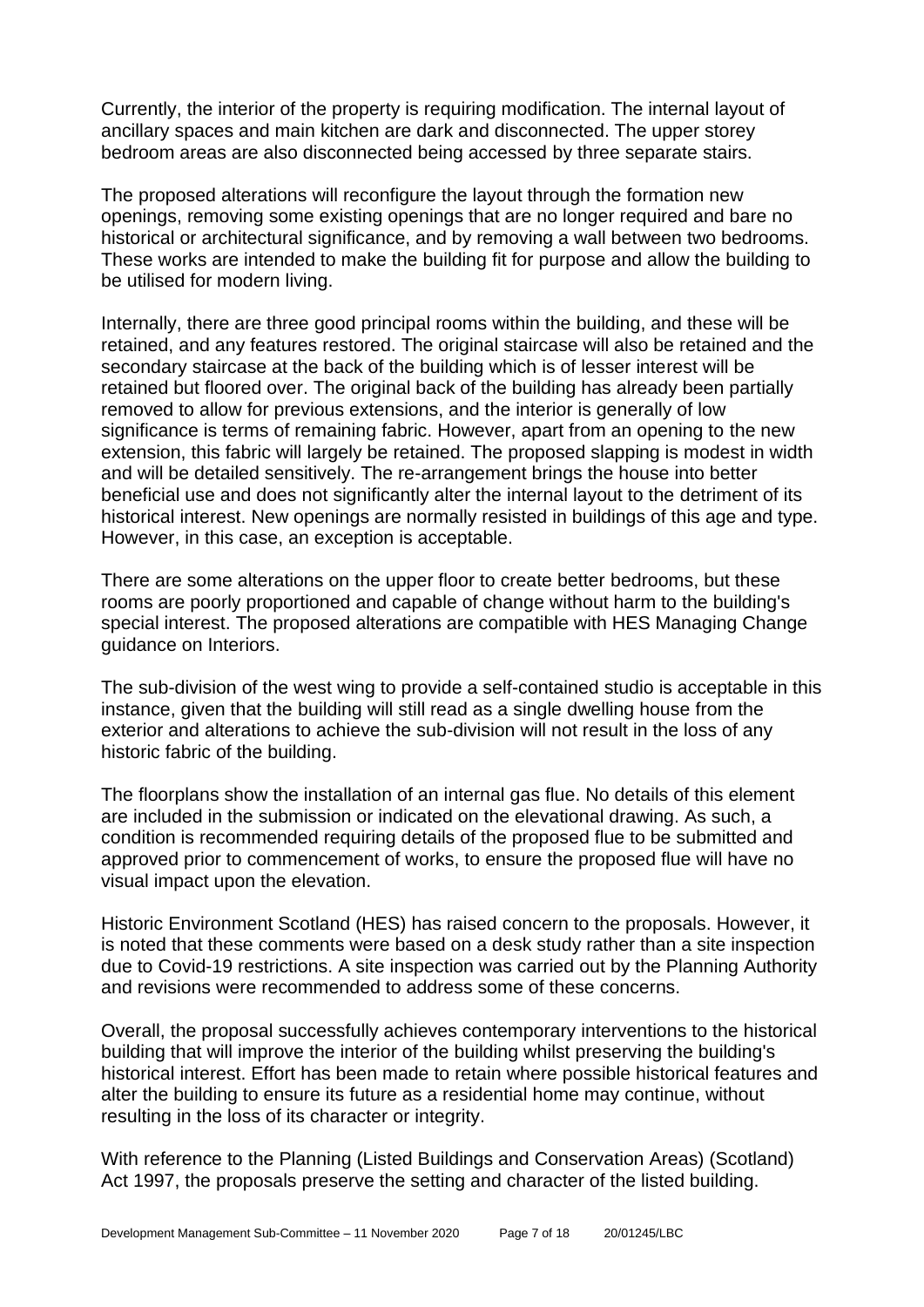Currently, the interior of the property is requiring modification. The internal layout of ancillary spaces and main kitchen are dark and disconnected. The upper storey bedroom areas are also disconnected being accessed by three separate stairs.

The proposed alterations will reconfigure the layout through the formation new openings, removing some existing openings that are no longer required and bare no historical or architectural significance, and by removing a wall between two bedrooms. These works are intended to make the building fit for purpose and allow the building to be utilised for modern living.

Internally, there are three good principal rooms within the building, and these will be retained, and any features restored. The original staircase will also be retained and the secondary staircase at the back of the building which is of lesser interest will be retained but floored over. The original back of the building has already been partially removed to allow for previous extensions, and the interior is generally of low significance is terms of remaining fabric. However, apart from an opening to the new extension, this fabric will largely be retained. The proposed slapping is modest in width and will be detailed sensitively. The re-arrangement brings the house into better beneficial use and does not significantly alter the internal layout to the detriment of its historical interest. New openings are normally resisted in buildings of this age and type. However, in this case, an exception is acceptable.

There are some alterations on the upper floor to create better bedrooms, but these rooms are poorly proportioned and capable of change without harm to the building's special interest. The proposed alterations are compatible with HES Managing Change guidance on Interiors.

The sub-division of the west wing to provide a self-contained studio is acceptable in this instance, given that the building will still read as a single dwelling house from the exterior and alterations to achieve the sub-division will not result in the loss of any historic fabric of the building.

The floorplans show the installation of an internal gas flue. No details of this element are included in the submission or indicated on the elevational drawing. As such, a condition is recommended requiring details of the proposed flue to be submitted and approved prior to commencement of works, to ensure the proposed flue will have no visual impact upon the elevation.

Historic Environment Scotland (HES) has raised concern to the proposals. However, it is noted that these comments were based on a desk study rather than a site inspection due to Covid-19 restrictions. A site inspection was carried out by the Planning Authority and revisions were recommended to address some of these concerns.

Overall, the proposal successfully achieves contemporary interventions to the historical building that will improve the interior of the building whilst preserving the building's historical interest. Effort has been made to retain where possible historical features and alter the building to ensure its future as a residential home may continue, without resulting in the loss of its character or integrity.

With reference to the Planning (Listed Buildings and Conservation Areas) (Scotland) Act 1997, the proposals preserve the setting and character of the listed building.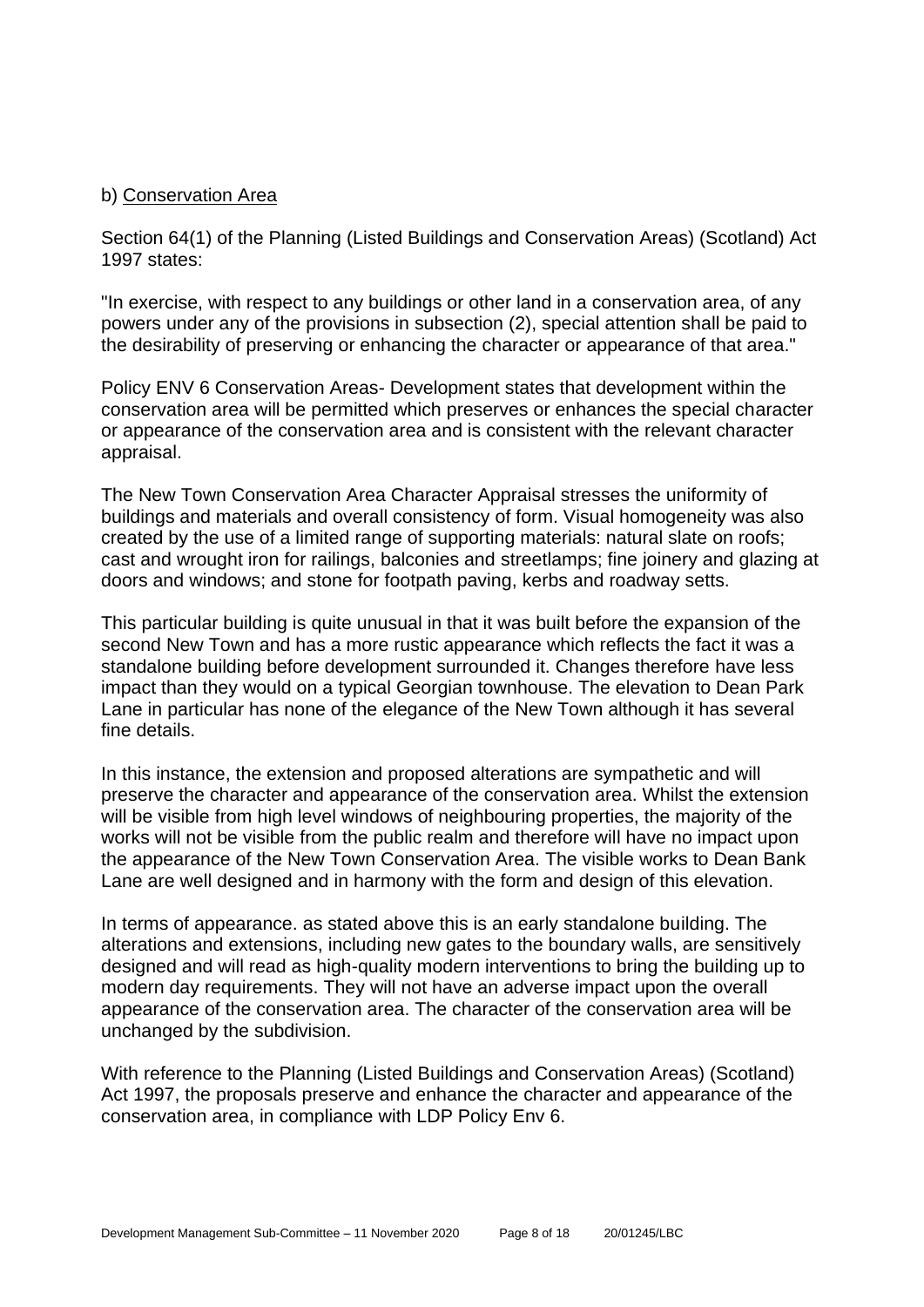## b) Conservation Area

Section 64(1) of the Planning (Listed Buildings and Conservation Areas) (Scotland) Act 1997 states:

"In exercise, with respect to any buildings or other land in a conservation area, of any powers under any of the provisions in subsection (2), special attention shall be paid to the desirability of preserving or enhancing the character or appearance of that area."

Policy ENV 6 Conservation Areas- Development states that development within the conservation area will be permitted which preserves or enhances the special character or appearance of the conservation area and is consistent with the relevant character appraisal.

The New Town Conservation Area Character Appraisal stresses the uniformity of buildings and materials and overall consistency of form. Visual homogeneity was also created by the use of a limited range of supporting materials: natural slate on roofs; cast and wrought iron for railings, balconies and streetlamps; fine joinery and glazing at doors and windows; and stone for footpath paving, kerbs and roadway setts.

This particular building is quite unusual in that it was built before the expansion of the second New Town and has a more rustic appearance which reflects the fact it was a standalone building before development surrounded it. Changes therefore have less impact than they would on a typical Georgian townhouse. The elevation to Dean Park Lane in particular has none of the elegance of the New Town although it has several fine details.

In this instance, the extension and proposed alterations are sympathetic and will preserve the character and appearance of the conservation area. Whilst the extension will be visible from high level windows of neighbouring properties, the majority of the works will not be visible from the public realm and therefore will have no impact upon the appearance of the New Town Conservation Area. The visible works to Dean Bank Lane are well designed and in harmony with the form and design of this elevation.

In terms of appearance. as stated above this is an early standalone building. The alterations and extensions, including new gates to the boundary walls, are sensitively designed and will read as high-quality modern interventions to bring the building up to modern day requirements. They will not have an adverse impact upon the overall appearance of the conservation area. The character of the conservation area will be unchanged by the subdivision.

With reference to the Planning (Listed Buildings and Conservation Areas) (Scotland) Act 1997, the proposals preserve and enhance the character and appearance of the conservation area, in compliance with LDP Policy Env 6.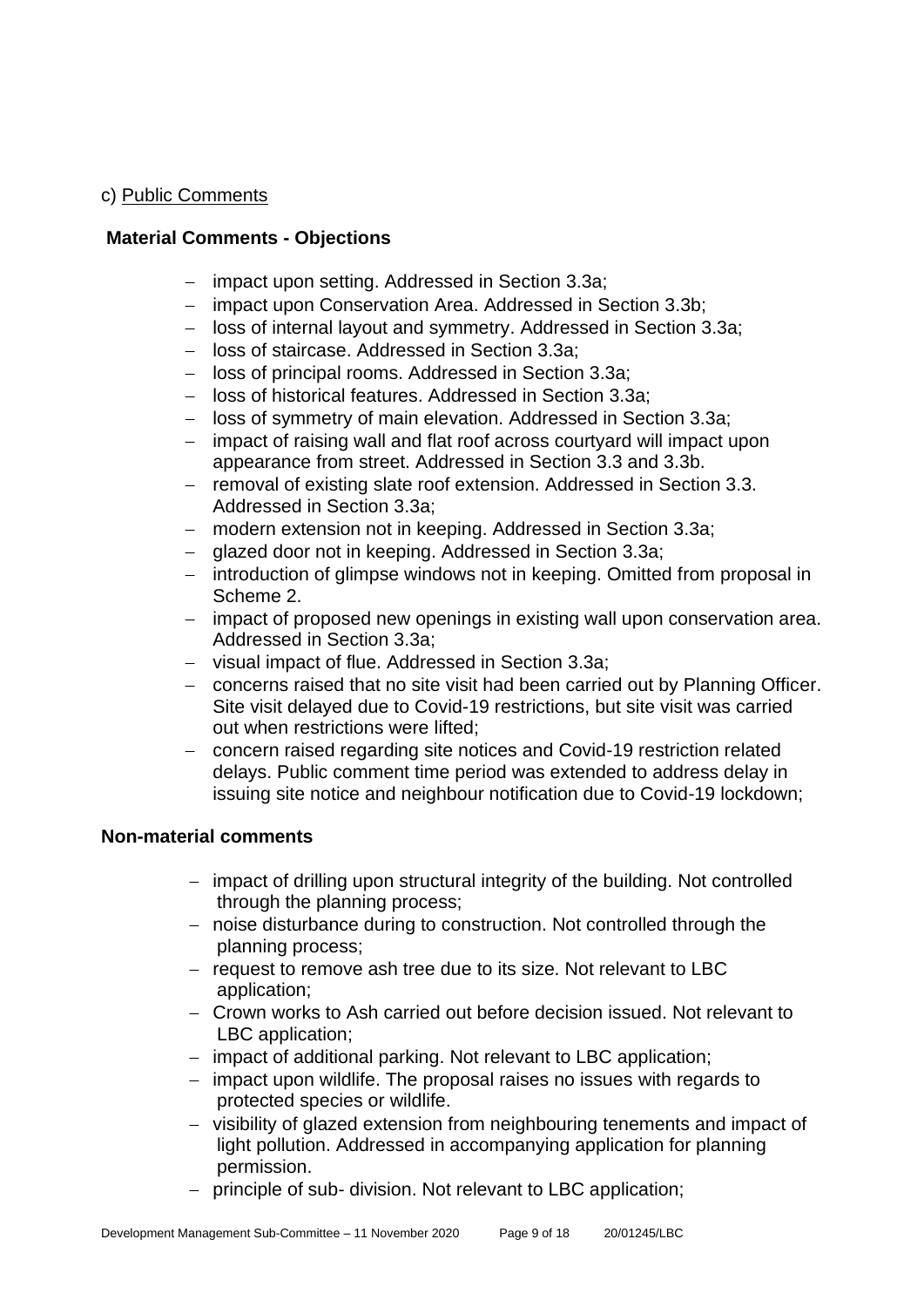## c) Public Comments

## **Material Comments - Objections**

- − impact upon setting. Addressed in Section 3.3a;
- − impact upon Conservation Area. Addressed in Section 3.3b;
- − loss of internal layout and symmetry. Addressed in Section 3.3a;
- − loss of staircase. Addressed in Section 3.3a;
- − loss of principal rooms. Addressed in Section 3.3a;
- − loss of historical features. Addressed in Section 3.3a;
- − loss of symmetry of main elevation. Addressed in Section 3.3a;
- − impact of raising wall and flat roof across courtyard will impact upon appearance from street. Addressed in Section 3.3 and 3.3b.
- − removal of existing slate roof extension. Addressed in Section 3.3. Addressed in Section 3.3a;
- − modern extension not in keeping. Addressed in Section 3.3a;
- − glazed door not in keeping. Addressed in Section 3.3a;
- − introduction of glimpse windows not in keeping. Omitted from proposal in Scheme 2.
- − impact of proposed new openings in existing wall upon conservation area. Addressed in Section 3.3a;
- − visual impact of flue. Addressed in Section 3.3a;
- − concerns raised that no site visit had been carried out by Planning Officer. Site visit delayed due to Covid-19 restrictions, but site visit was carried out when restrictions were lifted;
- − concern raised regarding site notices and Covid-19 restriction related delays. Public comment time period was extended to address delay in issuing site notice and neighbour notification due to Covid-19 lockdown;

## **Non-material comments**

- − impact of drilling upon structural integrity of the building. Not controlled through the planning process;
- − noise disturbance during to construction. Not controlled through the planning process;
- − request to remove ash tree due to its size. Not relevant to LBC application;
- − Crown works to Ash carried out before decision issued. Not relevant to LBC application;
- − impact of additional parking. Not relevant to LBC application;
- − impact upon wildlife. The proposal raises no issues with regards to protected species or wildlife.
- − visibility of glazed extension from neighbouring tenements and impact of light pollution. Addressed in accompanying application for planning permission.
- − principle of sub- division. Not relevant to LBC application;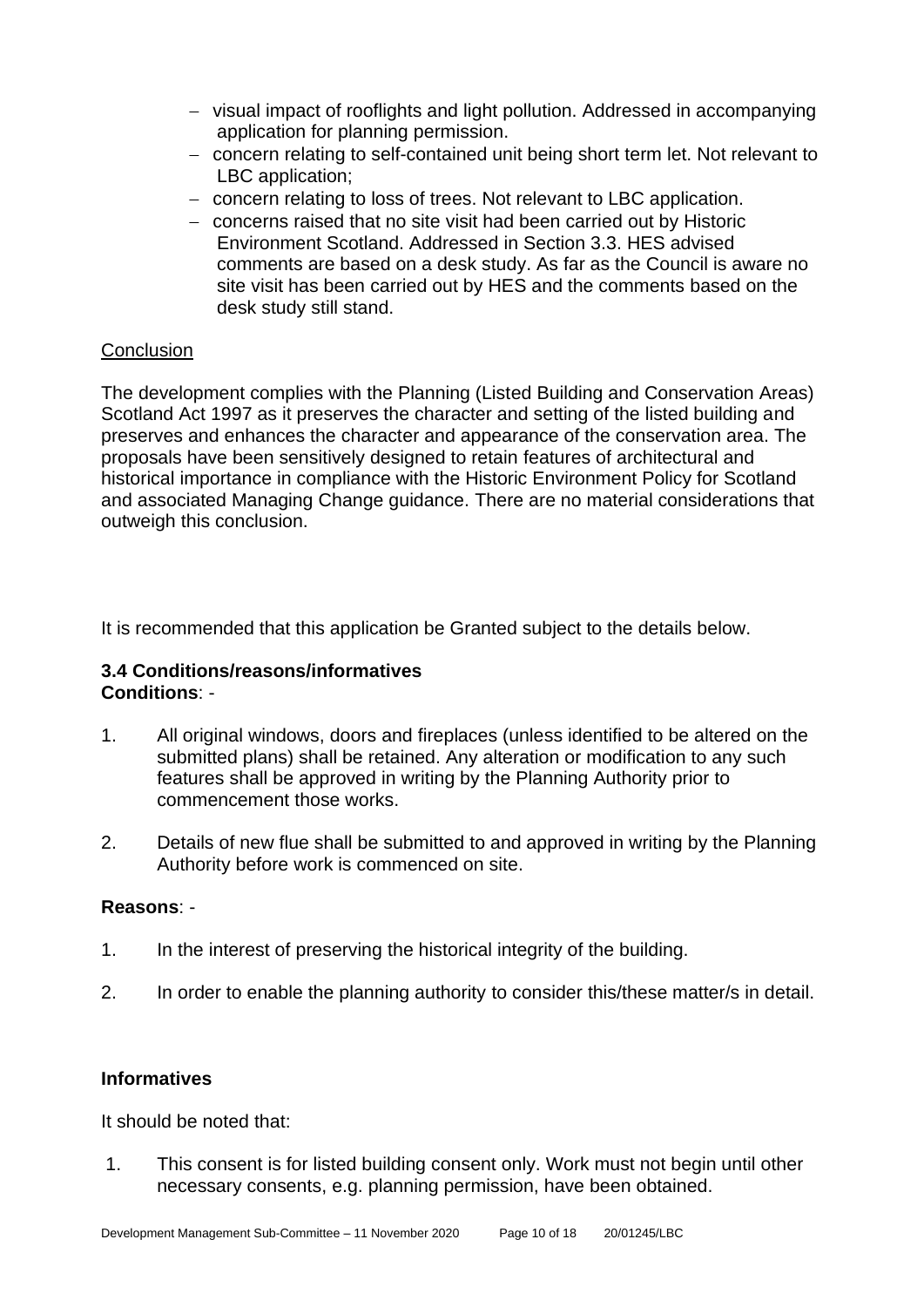- − visual impact of rooflights and light pollution. Addressed in accompanying application for planning permission.
- − concern relating to self-contained unit being short term let. Not relevant to LBC application;
- − concern relating to loss of trees. Not relevant to LBC application.
- − concerns raised that no site visit had been carried out by Historic Environment Scotland. Addressed in Section 3.3. HES advised comments are based on a desk study. As far as the Council is aware no site visit has been carried out by HES and the comments based on the desk study still stand.

## **Conclusion**

The development complies with the Planning (Listed Building and Conservation Areas) Scotland Act 1997 as it preserves the character and setting of the listed building and preserves and enhances the character and appearance of the conservation area. The proposals have been sensitively designed to retain features of architectural and historical importance in compliance with the Historic Environment Policy for Scotland and associated Managing Change guidance. There are no material considerations that outweigh this conclusion.

It is recommended that this application be Granted subject to the details below.

## **3.4 Conditions/reasons/informatives Conditions**: -

- 1. All original windows, doors and fireplaces (unless identified to be altered on the submitted plans) shall be retained. Any alteration or modification to any such features shall be approved in writing by the Planning Authority prior to commencement those works.
- 2. Details of new flue shall be submitted to and approved in writing by the Planning Authority before work is commenced on site.

## **Reasons**: -

- 1. In the interest of preserving the historical integrity of the building.
- 2. In order to enable the planning authority to consider this/these matter/s in detail.

## **Informatives**

It should be noted that:

1. This consent is for listed building consent only. Work must not begin until other necessary consents, e.g. planning permission, have been obtained.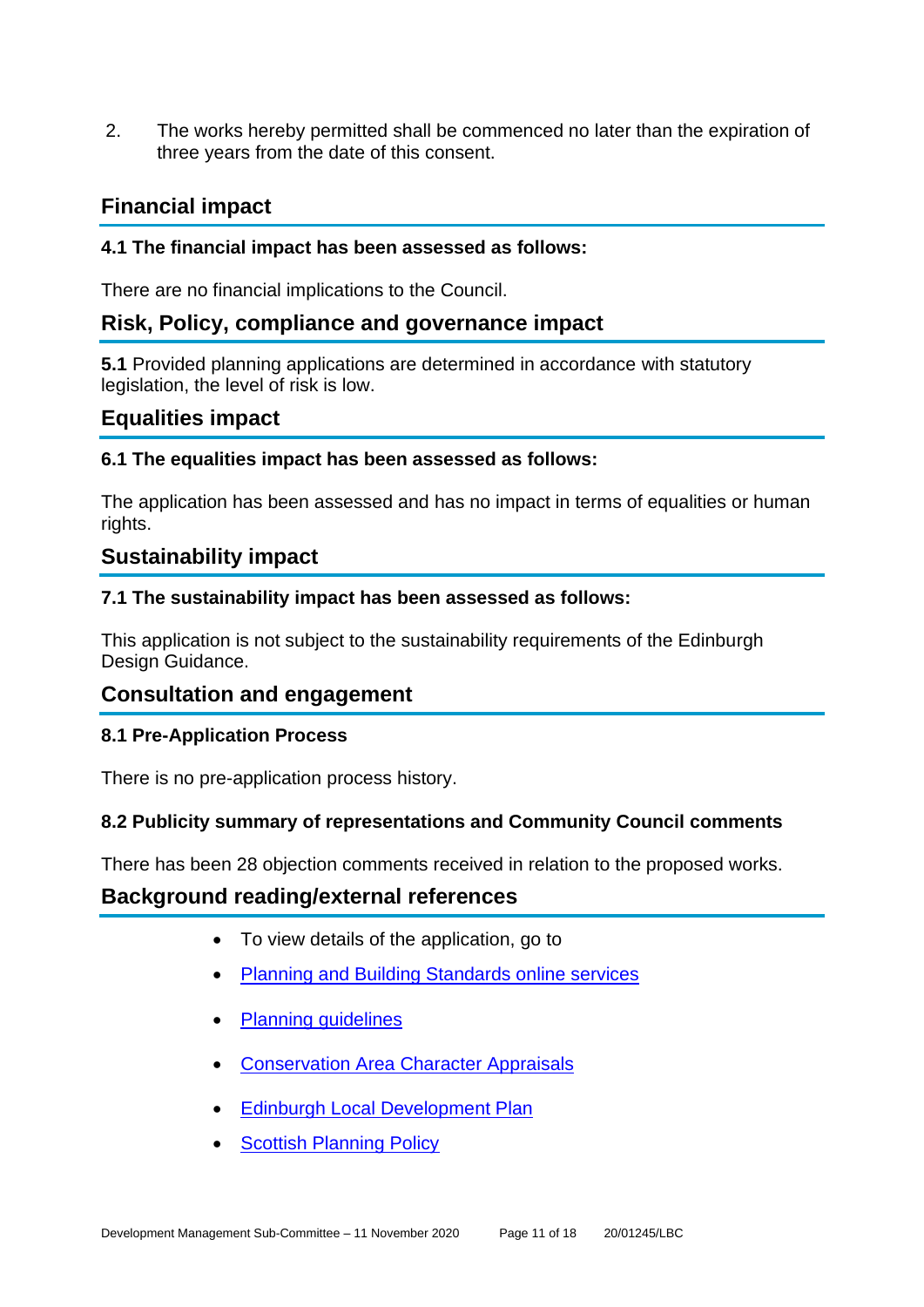2. The works hereby permitted shall be commenced no later than the expiration of three years from the date of this consent.

## **Financial impact**

## **4.1 The financial impact has been assessed as follows:**

There are no financial implications to the Council.

## **Risk, Policy, compliance and governance impact**

**5.1** Provided planning applications are determined in accordance with statutory legislation, the level of risk is low.

## **Equalities impact**

## **6.1 The equalities impact has been assessed as follows:**

The application has been assessed and has no impact in terms of equalities or human rights.

## **Sustainability impact**

## **7.1 The sustainability impact has been assessed as follows:**

This application is not subject to the sustainability requirements of the Edinburgh Design Guidance.

## **Consultation and engagement**

## **8.1 Pre-Application Process**

There is no pre-application process history.

## **8.2 Publicity summary of representations and Community Council comments**

There has been 28 objection comments received in relation to the proposed works.

## **Background reading/external references**

- To view details of the application, go to
- [Planning and Building Standards online services](https://citydev-portal.edinburgh.gov.uk/idoxpa-web/search.do?action=simple&searchType=Application)
- [Planning guidelines](http://www.edinburgh.gov.uk/planningguidelines)
- [Conservation Area Character Appraisals](http://www.edinburgh.gov.uk/characterappraisals)
- [Edinburgh Local Development Plan](http://www.edinburgh.gov.uk/localdevelopmentplan)
- [Scottish Planning Policy](http://www.scotland.gov.uk/Topics/Built-Environment/planning/Policy)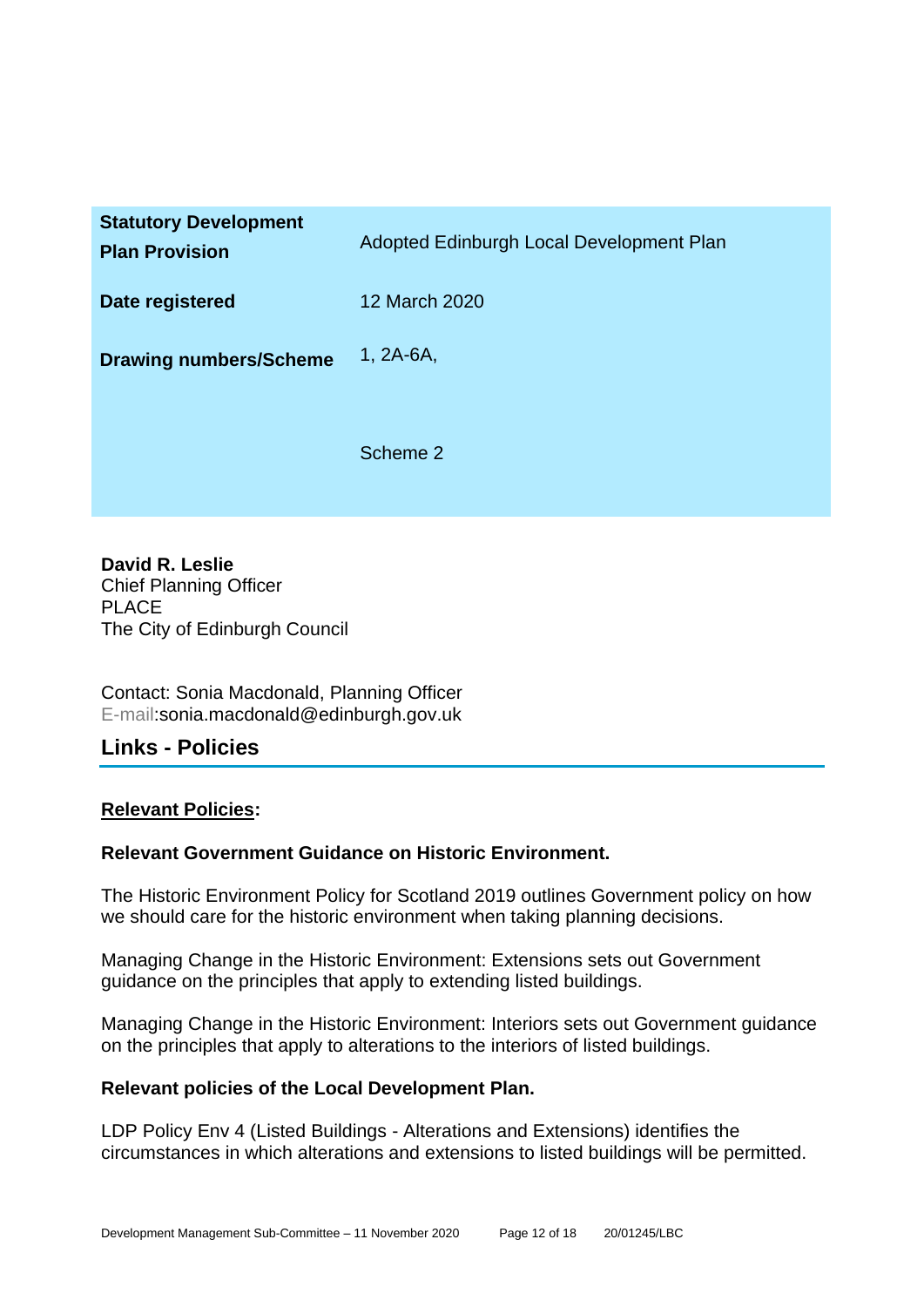| <b>Statutory Development</b><br><b>Plan Provision</b> | Adopted Edinburgh Local Development Plan |
|-------------------------------------------------------|------------------------------------------|
| Date registered                                       | 12 March 2020                            |
| <b>Drawing numbers/Scheme</b>                         | $1, 2A-6A,$                              |
|                                                       | Scheme 2                                 |

**David R. Leslie** Chief Planning Officer PLACE The City of Edinburgh Council

Contact: Sonia Macdonald, Planning Officer E-mail:sonia.macdonald@edinburgh.gov.uk

## **Links - Policies**

## **Relevant Policies:**

## **Relevant Government Guidance on Historic Environment.**

The Historic Environment Policy for Scotland 2019 outlines Government policy on how we should care for the historic environment when taking planning decisions.

Managing Change in the Historic Environment: Extensions sets out Government guidance on the principles that apply to extending listed buildings.

Managing Change in the Historic Environment: Interiors sets out Government guidance on the principles that apply to alterations to the interiors of listed buildings.

## **Relevant policies of the Local Development Plan.**

LDP Policy Env 4 (Listed Buildings - Alterations and Extensions) identifies the circumstances in which alterations and extensions to listed buildings will be permitted.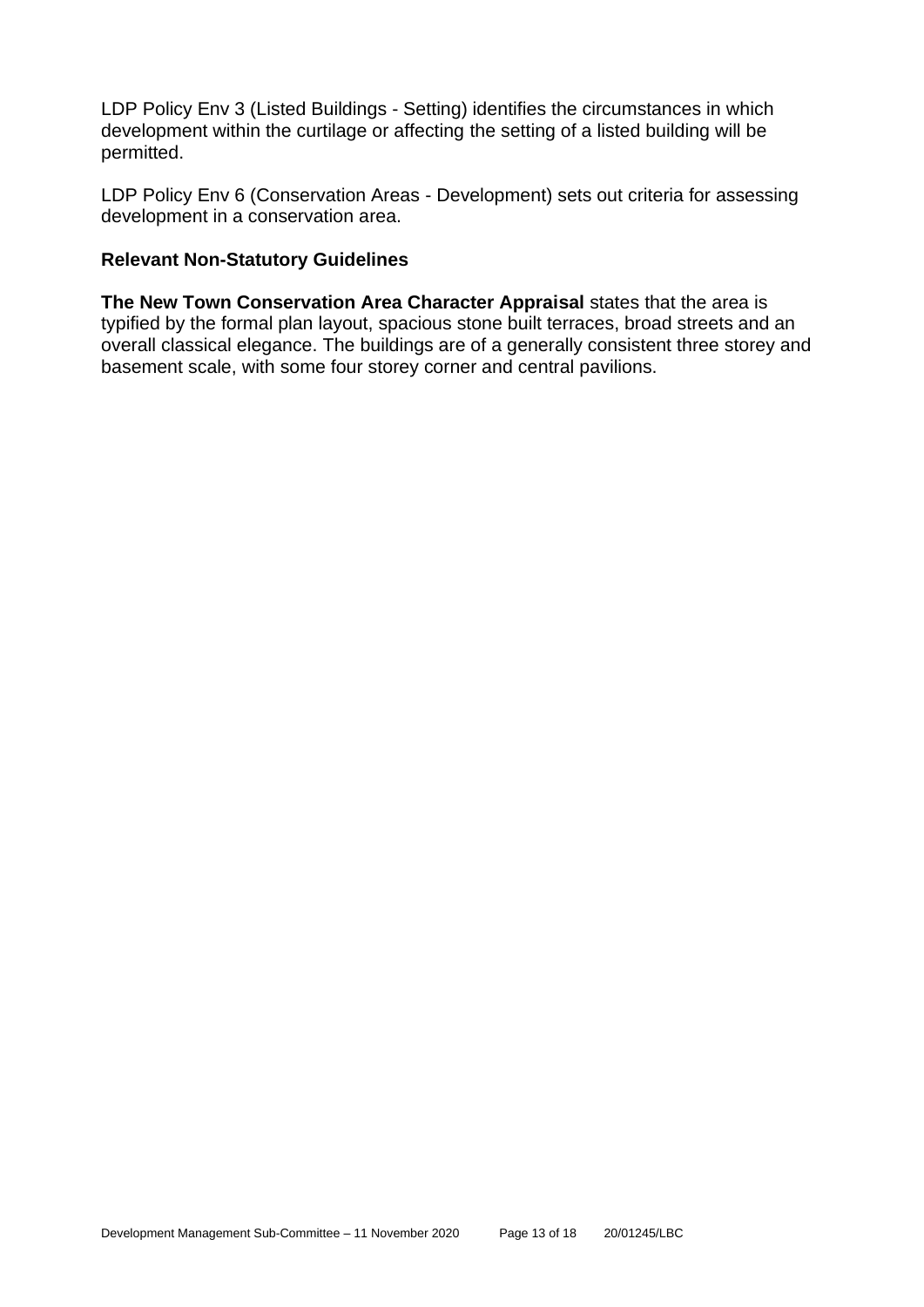LDP Policy Env 3 (Listed Buildings - Setting) identifies the circumstances in which development within the curtilage or affecting the setting of a listed building will be permitted.

LDP Policy Env 6 (Conservation Areas - Development) sets out criteria for assessing development in a conservation area.

#### **Relevant Non-Statutory Guidelines**

**The New Town Conservation Area Character Appraisal** states that the area is typified by the formal plan layout, spacious stone built terraces, broad streets and an overall classical elegance. The buildings are of a generally consistent three storey and basement scale, with some four storey corner and central pavilions.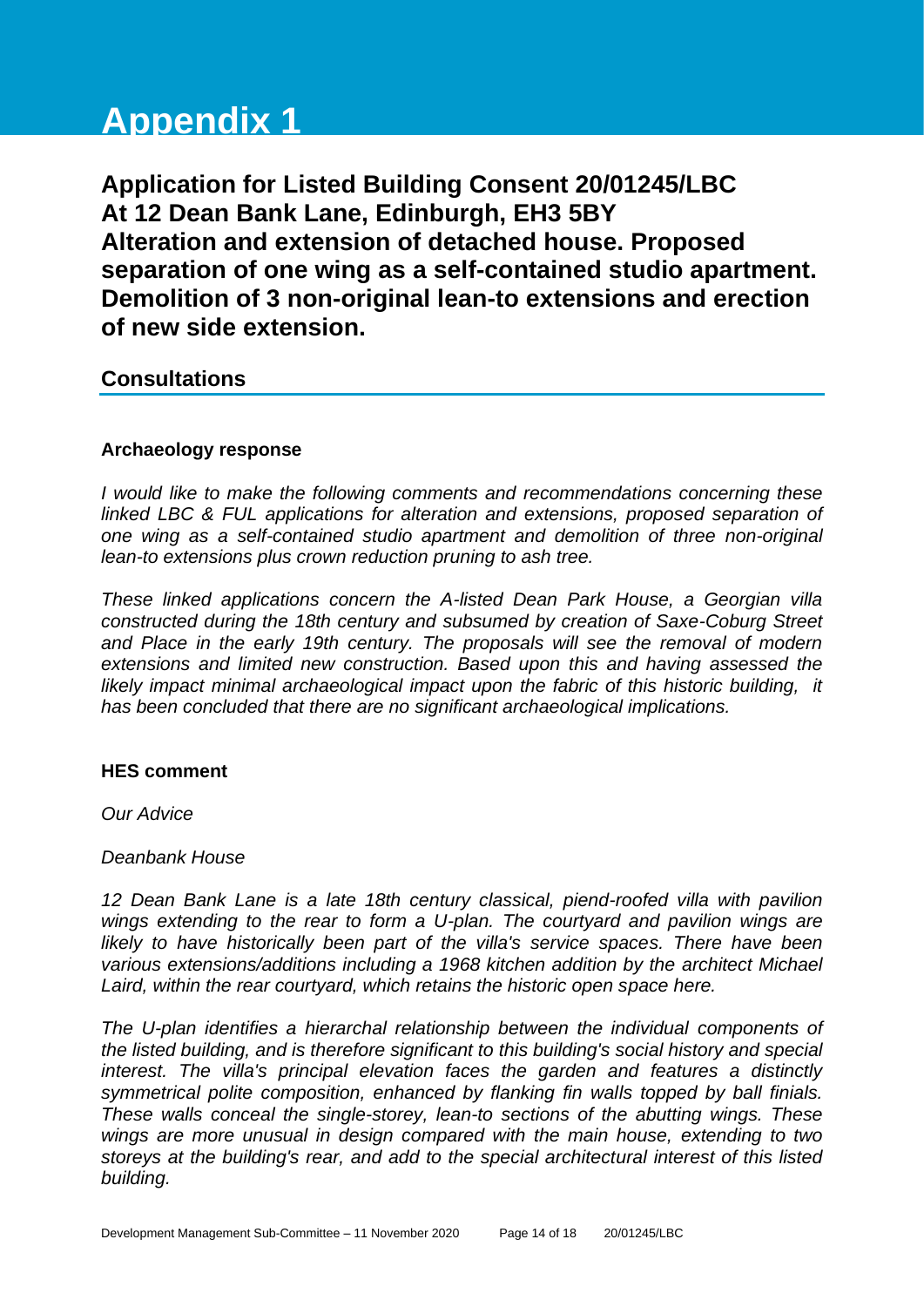# **Appendix 1**

**Application for Listed Building Consent 20/01245/LBC At 12 Dean Bank Lane, Edinburgh, EH3 5BY Alteration and extension of detached house. Proposed separation of one wing as a self-contained studio apartment. Demolition of 3 non-original lean-to extensions and erection of new side extension.**

## **Consultations**

## **Archaeology response**

*I would like to make the following comments and recommendations concerning these linked LBC & FUL applications for alteration and extensions, proposed separation of one wing as a self-contained studio apartment and demolition of three non-original lean-to extensions plus crown reduction pruning to ash tree.*

*These linked applications concern the A-listed Dean Park House, a Georgian villa constructed during the 18th century and subsumed by creation of Saxe-Coburg Street and Place in the early 19th century. The proposals will see the removal of modern extensions and limited new construction. Based upon this and having assessed the likely impact minimal archaeological impact upon the fabric of this historic building, it has been concluded that there are no significant archaeological implications.* 

#### **HES comment**

*Our Advice*

## *Deanbank House*

*12 Dean Bank Lane is a late 18th century classical, piend-roofed villa with pavilion wings extending to the rear to form a U-plan. The courtyard and pavilion wings are*  likely to have historically been part of the villa's service spaces. There have been *various extensions/additions including a 1968 kitchen addition by the architect Michael Laird, within the rear courtyard, which retains the historic open space here.*

*The U-plan identifies a hierarchal relationship between the individual components of the listed building, and is therefore significant to this building's social history and special interest. The villa's principal elevation faces the garden and features a distinctly symmetrical polite composition, enhanced by flanking fin walls topped by ball finials. These walls conceal the single-storey, lean-to sections of the abutting wings. These wings are more unusual in design compared with the main house, extending to two storeys at the building's rear, and add to the special architectural interest of this listed building.*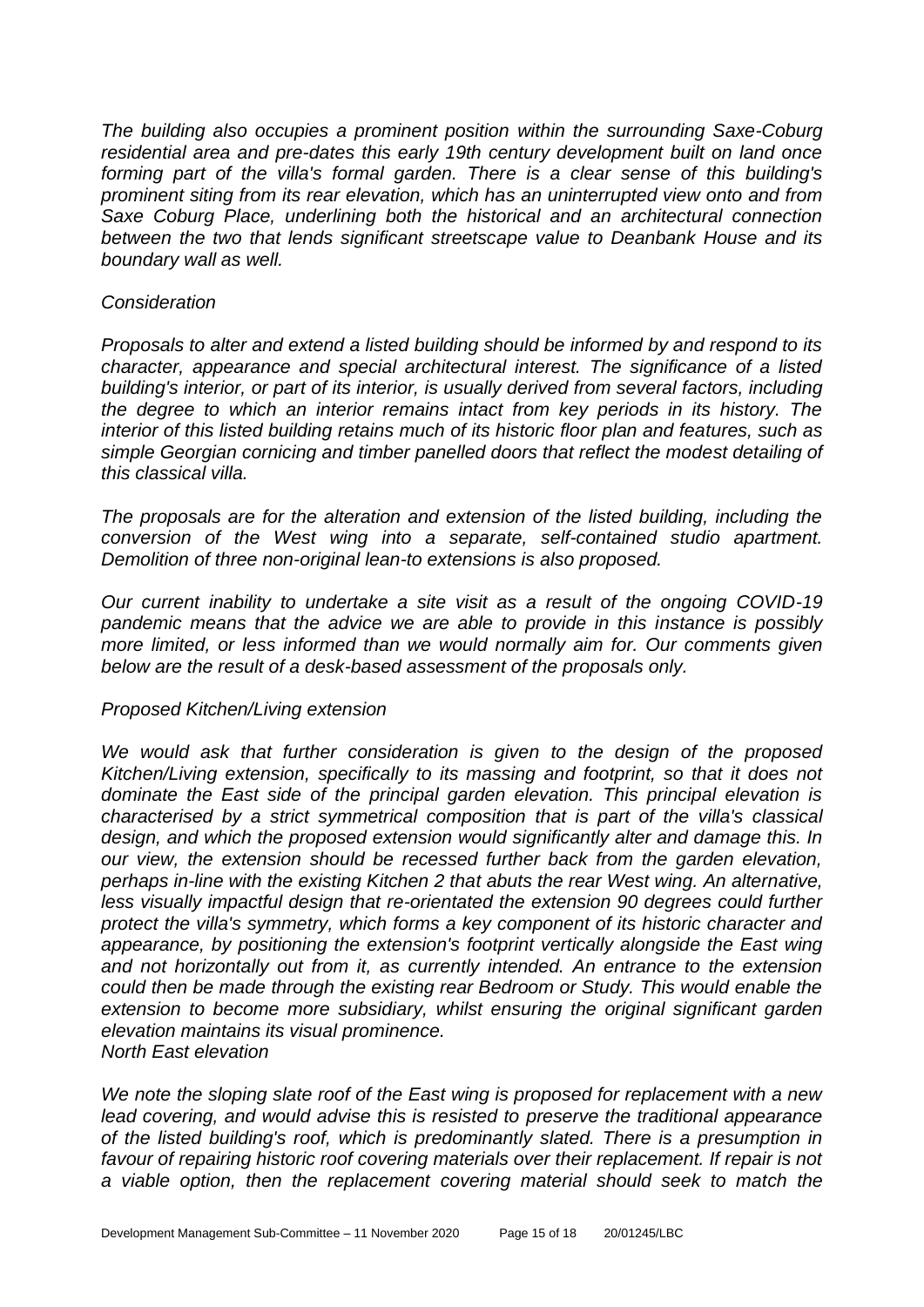*The building also occupies a prominent position within the surrounding Saxe-Coburg residential area and pre-dates this early 19th century development built on land once forming part of the villa's formal garden. There is a clear sense of this building's prominent siting from its rear elevation, which has an uninterrupted view onto and from Saxe Coburg Place, underlining both the historical and an architectural connection between the two that lends significant streetscape value to Deanbank House and its boundary wall as well.*

#### *Consideration*

*Proposals to alter and extend a listed building should be informed by and respond to its character, appearance and special architectural interest. The significance of a listed building's interior, or part of its interior, is usually derived from several factors, including the degree to which an interior remains intact from key periods in its history. The interior of this listed building retains much of its historic floor plan and features, such as simple Georgian cornicing and timber panelled doors that reflect the modest detailing of this classical villa.*

*The proposals are for the alteration and extension of the listed building, including the conversion of the West wing into a separate, self-contained studio apartment. Demolition of three non-original lean-to extensions is also proposed.*

*Our current inability to undertake a site visit as a result of the ongoing COVID-19 pandemic means that the advice we are able to provide in this instance is possibly more limited, or less informed than we would normally aim for. Our comments given below are the result of a desk-based assessment of the proposals only.*

## *Proposed Kitchen/Living extension*

*We would ask that further consideration is given to the design of the proposed Kitchen/Living extension, specifically to its massing and footprint, so that it does not dominate the East side of the principal garden elevation. This principal elevation is characterised by a strict symmetrical composition that is part of the villa's classical design, and which the proposed extension would significantly alter and damage this. In our view, the extension should be recessed further back from the garden elevation, perhaps in-line with the existing Kitchen 2 that abuts the rear West wing. An alternative,*  less visually impactful design that re-orientated the extension 90 degrees could further *protect the villa's symmetry, which forms a key component of its historic character and appearance, by positioning the extension's footprint vertically alongside the East wing and not horizontally out from it, as currently intended. An entrance to the extension could then be made through the existing rear Bedroom or Study. This would enable the*  extension to become more subsidiary, whilst ensuring the original significant garden *elevation maintains its visual prominence. North East elevation*

*We note the sloping slate roof of the East wing is proposed for replacement with a new lead covering, and would advise this is resisted to preserve the traditional appearance of the listed building's roof, which is predominantly slated. There is a presumption in favour of repairing historic roof covering materials over their replacement. If repair is not a viable option, then the replacement covering material should seek to match the*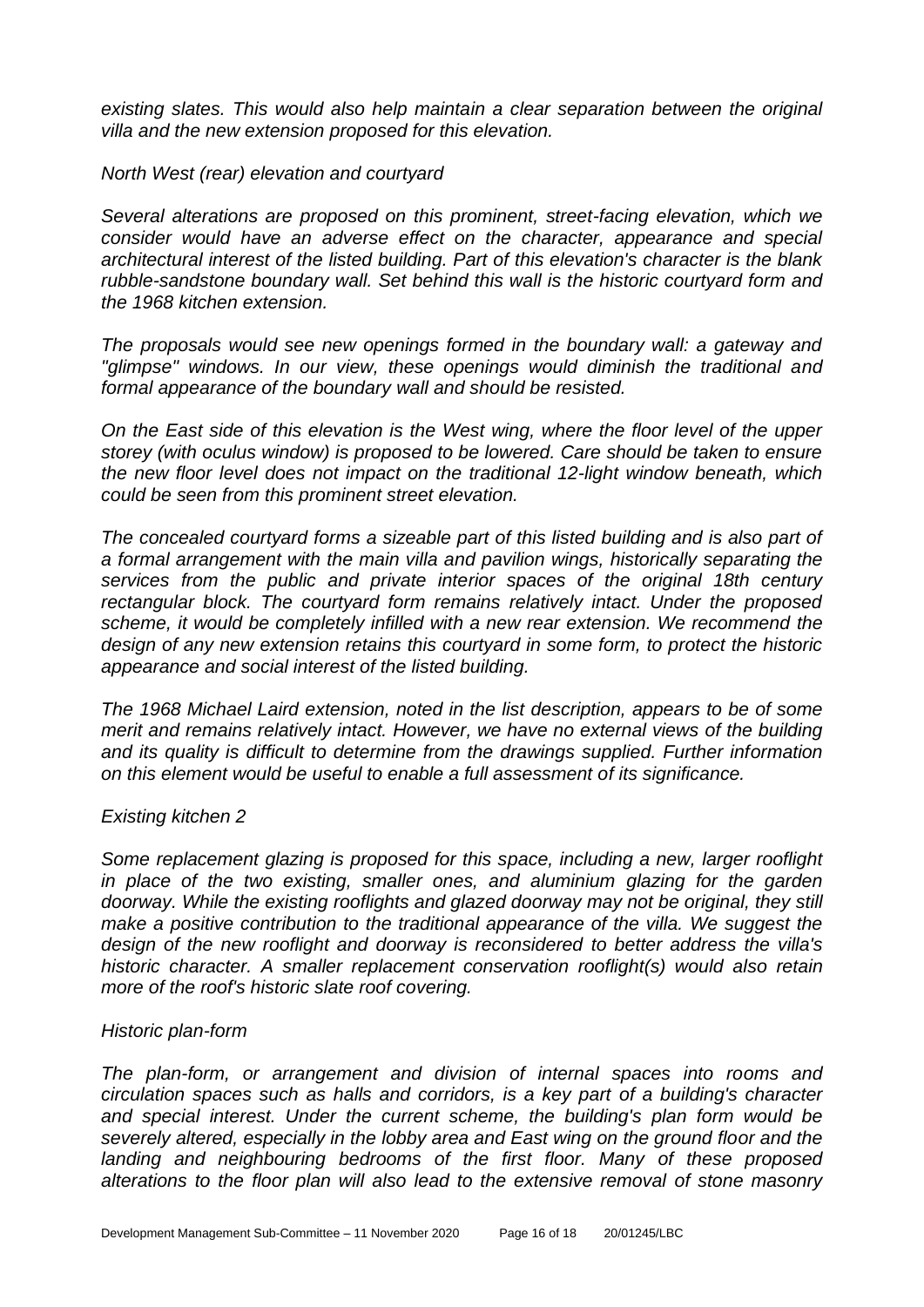*existing slates. This would also help maintain a clear separation between the original villa and the new extension proposed for this elevation.*

*North West (rear) elevation and courtyard*

*Several alterations are proposed on this prominent, street-facing elevation, which we consider would have an adverse effect on the character, appearance and special architectural interest of the listed building. Part of this elevation's character is the blank rubble-sandstone boundary wall. Set behind this wall is the historic courtyard form and the 1968 kitchen extension.*

*The proposals would see new openings formed in the boundary wall: a gateway and "glimpse" windows. In our view, these openings would diminish the traditional and formal appearance of the boundary wall and should be resisted.*

*On the East side of this elevation is the West wing, where the floor level of the upper storey (with oculus window) is proposed to be lowered. Care should be taken to ensure the new floor level does not impact on the traditional 12-light window beneath, which could be seen from this prominent street elevation.*

*The concealed courtyard forms a sizeable part of this listed building and is also part of a formal arrangement with the main villa and pavilion wings, historically separating the services from the public and private interior spaces of the original 18th century rectangular block. The courtyard form remains relatively intact. Under the proposed scheme, it would be completely infilled with a new rear extension. We recommend the design of any new extension retains this courtyard in some form, to protect the historic appearance and social interest of the listed building.*

*The 1968 Michael Laird extension, noted in the list description, appears to be of some merit and remains relatively intact. However, we have no external views of the building and its quality is difficult to determine from the drawings supplied. Further information on this element would be useful to enable a full assessment of its significance.*

## *Existing kitchen 2*

*Some replacement glazing is proposed for this space, including a new, larger rooflight*  in place of the two existing, smaller ones, and aluminium glazing for the garden *doorway. While the existing rooflights and glazed doorway may not be original, they still make a positive contribution to the traditional appearance of the villa. We suggest the design of the new rooflight and doorway is reconsidered to better address the villa's historic character. A smaller replacement conservation rooflight(s) would also retain more of the roof's historic slate roof covering.*

#### *Historic plan-form*

*The plan-form, or arrangement and division of internal spaces into rooms and circulation spaces such as halls and corridors, is a key part of a building's character and special interest. Under the current scheme, the building's plan form would be severely altered, especially in the lobby area and East wing on the ground floor and the landing and neighbouring bedrooms of the first floor. Many of these proposed alterations to the floor plan will also lead to the extensive removal of stone masonry*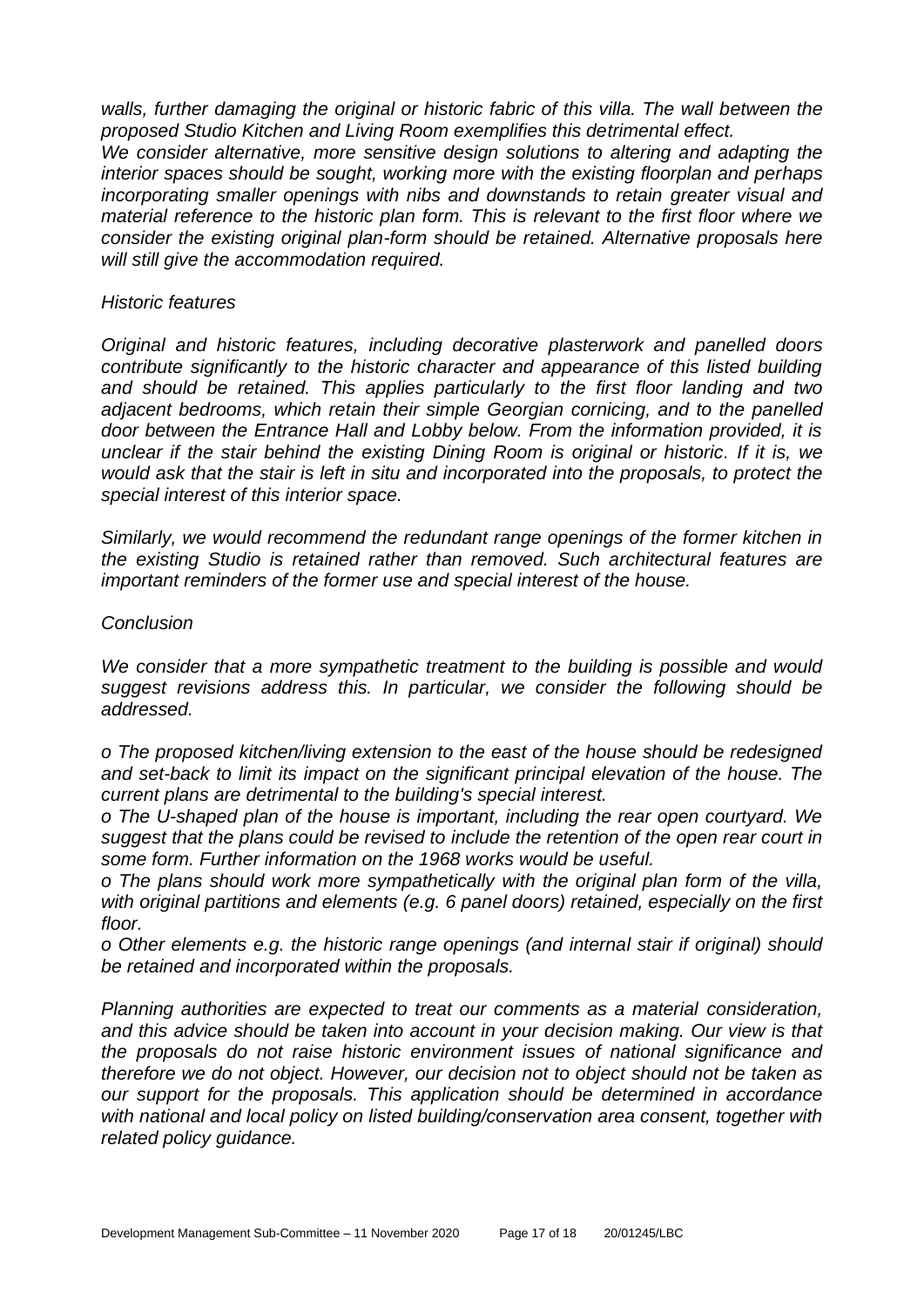*walls, further damaging the original or historic fabric of this villa. The wall between the proposed Studio Kitchen and Living Room exemplifies this detrimental effect. We consider alternative, more sensitive design solutions to altering and adapting the interior spaces should be sought, working more with the existing floorplan and perhaps incorporating smaller openings with nibs and downstands to retain greater visual and material reference to the historic plan form. This is relevant to the first floor where we consider the existing original plan-form should be retained. Alternative proposals here will still give the accommodation required.*

#### *Historic features*

*Original and historic features, including decorative plasterwork and panelled doors contribute significantly to the historic character and appearance of this listed building and should be retained. This applies particularly to the first floor landing and two adjacent bedrooms, which retain their simple Georgian cornicing, and to the panelled door between the Entrance Hall and Lobby below. From the information provided, it is unclear if the stair behind the existing Dining Room is original or historic. If it is, we would ask that the stair is left in situ and incorporated into the proposals, to protect the special interest of this interior space.*

*Similarly, we would recommend the redundant range openings of the former kitchen in the existing Studio is retained rather than removed. Such architectural features are important reminders of the former use and special interest of the house.*

#### *Conclusion*

*We consider that a more sympathetic treatment to the building is possible and would suggest revisions address this. In particular, we consider the following should be addressed.*

*o The proposed kitchen/living extension to the east of the house should be redesigned and set-back to limit its impact on the significant principal elevation of the house. The current plans are detrimental to the building's special interest.*

*o The U-shaped plan of the house is important, including the rear open courtyard. We suggest that the plans could be revised to include the retention of the open rear court in some form. Further information on the 1968 works would be useful.*

*o The plans should work more sympathetically with the original plan form of the villa, with original partitions and elements (e.g. 6 panel doors) retained, especially on the first floor.*

*o Other elements e.g. the historic range openings (and internal stair if original) should be retained and incorporated within the proposals.*

*Planning authorities are expected to treat our comments as a material consideration, and this advice should be taken into account in your decision making. Our view is that the proposals do not raise historic environment issues of national significance and therefore we do not object. However, our decision not to object should not be taken as our support for the proposals. This application should be determined in accordance with national and local policy on listed building/conservation area consent, together with related policy guidance.*